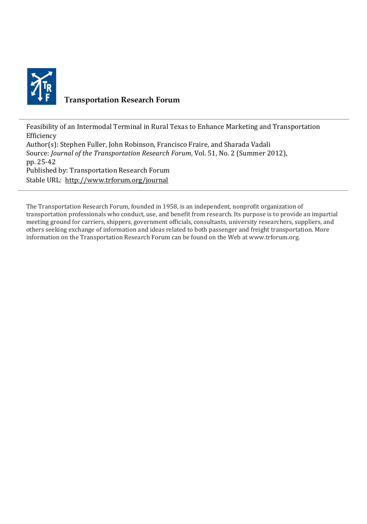

# **Transportation Research Forum**

Feasibility of an Intermodal Terminal in Rural Texas to Enhance Marketing and Transportation Efficiency Author(s): Stephen Fuller, John Robinson, Francisco Fraire, and Sharada Vadali Source: *Journal of the Transportation Research Forum*, Vol. 51, No. 2 (Summer 2012), pp. 25-42 Published by: Transportation Research Forum Stable URL:<http://www.trforum.org/journal>

The Transportation Research Forum, founded in 1958, is an independent, nonprofit organization of transportation professionals who conduct, use, and benefit from research. Its purpose is to provide an impartial meeting ground for carriers, shippers, government officials, consultants, university researchers, suppliers, and others seeking exchange of information and ideas related to both passenger and freight transportation. More information on the Transportation Research Forum can be found on the Web at www.trforum.org.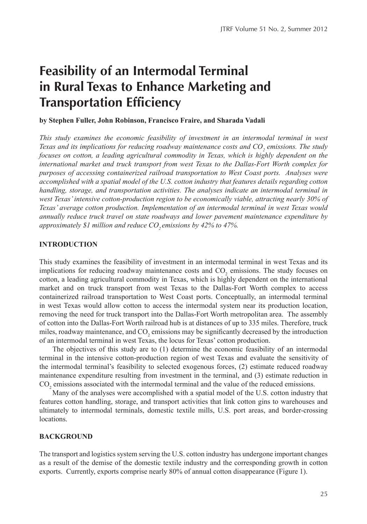# **Feasibility of an Intermodal Terminal in Rural Texas to Enhance Marketing and Transportation Efficiency**

#### **by Stephen Fuller, John Robinson, Francisco Fraire, and Sharada Vadali**

*This study examines the economic feasibility of investment in an intermodal terminal in west Texas and its implications for reducing roadway maintenance costs and CO2 emissions. The study focuses on cotton, a leading agricultural commodity in Texas, which is highly dependent on the international market and truck transport from west Texas to the Dallas-Fort Worth complex for purposes of accessing containerized railroad transportation to West Coast ports. Analyses were accomplished with a spatial model of the U.S. cotton industry that features details regarding cotton handling, storage, and transportation activities. The analyses indicate an intermodal terminal in west Texas'intensive cotton-production region to be economically viable, attracting nearly 30% of Texas' average cotton production. Implementation of an intermodal terminal in west Texas would annually reduce truck travel on state roadways and lower pavement maintenance expenditure by approximately \$1 million and reduce CO2 emissions by 42% to 47%.*

## **introduction**

This study examines the feasibility of investment in an intermodal terminal in west Texas and its implications for reducing roadway maintenance costs and  $CO<sub>2</sub>$  emissions. The study focuses on cotton, a leading agricultural commodity in Texas, which is highly dependent on the international market and on truck transport from west Texas to the Dallas-Fort Worth complex to access containerized railroad transportation to West Coast ports. Conceptually, an intermodal terminal in west Texas would allow cotton to access the intermodal system near its production location, removing the need for truck transport into the Dallas-Fort Worth metropolitan area. The assembly of cotton into the Dallas-Fort Worth railroad hub is at distances of up to 335 miles. Therefore, truck miles, roadway maintenance, and  $CO_2$  emissions may be significantly decreased by the introduction of an intermodal terminal in west Texas, the locus for Texas' cotton production.

The objectives of this study are to (1) determine the economic feasibility of an intermodal terminal in the intensive cotton-production region of west Texas and evaluate the sensitivity of the intermodal terminal's feasibility to selected exogenous forces, (2) estimate reduced roadway maintenance expenditure resulting from investment in the terminal, and (3) estimate reduction in  $CO<sub>2</sub>$  emissions associated with the intermodal terminal and the value of the reduced emissions.

Many of the analyses were accomplished with a spatial model of the U.S. cotton industry that features cotton handling, storage, and transport activities that link cotton gins to warehouses and ultimately to intermodal terminals, domestic textile mills, U.S. port areas, and border-crossing locations.

#### **BACKGROUND**

The transport and logistics system serving the U.S. cotton industry has undergone important changes as a result of the demise of the domestic textile industry and the corresponding growth in cotton exports. Currently, exports comprise nearly 80% of annual cotton disappearance (Figure 1).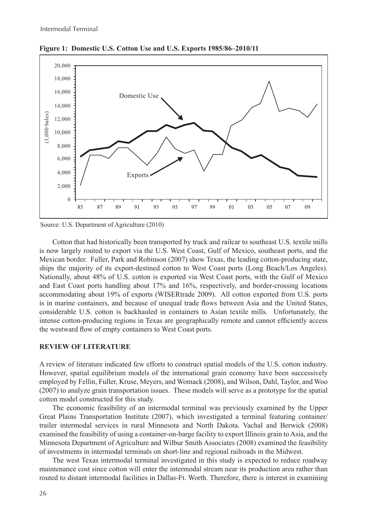

**Figure 1: Domestic U.S. Cotton Use and U.S. Exports 1985/86–2010/11**

Source: U.S. Department of Agriculture (2010)

Cotton that had historically been transported by truck and railcar to southeast U.S. textile mills is now largely routed to export via the U.S. West Coast, Gulf of Mexico, southeast ports, and the Mexican border. Fuller, Park and Robinson (2007) show Texas, the leading cotton-producing state, ships the majority of its export-destined cotton to West Coast ports (Long Beach/Los Angeles). Nationally, about 48% of U.S. cotton is exported via West Coast ports, with the Gulf of Mexico and East Coast ports handling about 17% and 16%, respectively, and border-crossing locations accommodating about 19% of exports (WISERtrade 2009). All cotton exported from U.S. ports is in marine containers, and because of unequal trade flows between Asia and the United States, considerable U.S. cotton is backhauled in containers to Asian textile mills. Unfortunately, the intense cotton-producing regions in Texas are geographically remote and cannot efficiently access the westward flow of empty containers to West Coast ports.

## **REVIEW OF LITERATURE**

A review of literature indicated few efforts to construct spatial models of the U.S. cotton industry. However, spatial equilibrium models of the international grain economy have been successively employed by Fellin, Fuller, Kruse, Meyers, and Womack (2008), and Wilson, Dahl, Taylor, and Woo (2007) to analyze grain transportation issues. These models will serve as a prototype for the spatial cotton model constructed for this study.

The economic feasibility of an intermodal terminal was previously examined by the Upper Great Plains Transportation Institute (2007), which investigated a terminal featuring container/ trailer intermodal services in rural Minnesota and North Dakota. Vachal and Berwick (2008) examined the feasibility of using a container-on-barge facility to export Illinois grain to Asia, and the Minnesota Department of Agriculture and Wilbur Smith Associates (2008) examined the feasibility of investments in intermodal terminals on short-line and regional railroads in the Midwest.

The west Texas intermodal terminal investigated in this study is expected to reduce roadway maintenance cost since cotton will enter the intermodal stream near its production area rather than routed to distant intermodal facilities in Dallas-Ft. Worth. Therefore, there is interest in examining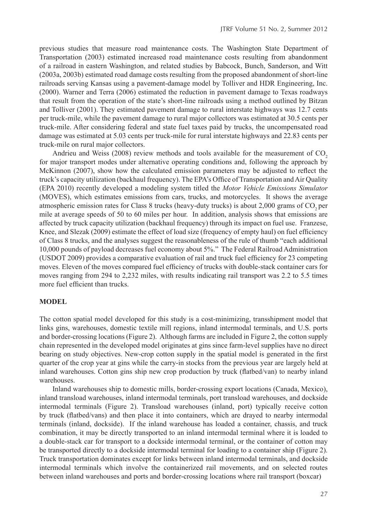previous studies that measure road maintenance costs. The Washington State Department of Transportation (2003) estimated increased road maintenance costs resulting from abandonment of a railroad in eastern Washington, and related studies by Babcock, Bunch, Sanderson, and Witt (2003a, 2003b) estimated road damage costs resulting from the proposed abandonment of short-line railroads serving Kansas using a pavement-damage model by Tolliver and HDR Engineering, Inc. (2000). Warner and Terra (2006) estimated the reduction in pavement damage to Texas roadways that result from the operation of the state's short-line railroads using a method outlined by Bitzan and Tolliver (2001). They estimated pavement damage to rural interstate highways was 12.7 cents per truck-mile, while the pavement damage to rural major collectors was estimated at 30.5 cents per truck-mile. After considering federal and state fuel taxes paid by trucks, the uncompensated road damage was estimated at 5.03 cents per truck-mile for rural interstate highways and 22.83 cents per truck-mile on rural major collectors.

Andrieu and Weiss  $(2008)$  review methods and tools available for the measurement of  $CO$ , for major transport modes under alternative operating conditions and, following the approach by McKinnon (2007), show how the calculated emission parameters may be adjusted to reflect the truck's capacity utilization (backhaul frequency). The EPA's Office of Transportation and Air Quality (EPA 2010) recently developed a modeling system titled the *Motor Vehicle Emissions Simulator* (MOVES), which estimates emissions from cars, trucks, and motorcycles. It shows the average atmospheric emission rates for Class 8 trucks (heavy-duty trucks) is about 2,000 grams of  $CO$ , per mile at average speeds of 50 to 60 miles per hour. In addition, analysis shows that emissions are affected by truck capacity utilization (backhaul frequency) through its impact on fuel use. Franzese, Knee, and Slezak (2009) estimate the effect of load size (frequency of empty haul) on fuel efficiency of Class 8 trucks, and the analyses suggest the reasonableness of the rule of thumb "each additional 10,000 pounds of payload decreases fuel economy about 5%." The Federal Railroad Administration (USDOT 2009) provides a comparative evaluation of rail and truck fuel efficiency for 23 competing moves. Eleven of the moves compared fuel efficiency of trucks with double-stack container cars for moves ranging from 294 to 2,232 miles, with results indicating rail transport was 2.2 to 5.5 times more fuel efficient than trucks.

## **MODEL**

The cotton spatial model developed for this study is a cost-minimizing, transshipment model that links gins, warehouses, domestic textile mill regions, inland intermodal terminals, and U.S. ports and border-crossing locations (Figure 2). Although farms are included in Figure 2, the cotton supply chain represented in the developed model originates at gins since farm-level supplies have no direct bearing on study objectives. New-crop cotton supply in the spatial model is generated in the first quarter of the crop year at gins while the carry-in stocks from the previous year are largely held at inland warehouses. Cotton gins ship new crop production by truck (flatbed/van) to nearby inland warehouses.

Inland warehouses ship to domestic mills, border-crossing export locations (Canada, Mexico), inland transload warehouses, inland intermodal terminals, port transload warehouses, and dockside intermodal terminals (Figure 2). Transload warehouses (inland, port) typically receive cotton by truck (flatbed/vans) and then place it into containers, which are drayed to nearby intermodal terminals (inland, dockside). If the inland warehouse has loaded a container, chassis, and truck combination, it may be directly transported to an inland intermodal terminal where it is loaded to a double-stack car for transport to a dockside intermodal terminal, or the container of cotton may be transported directly to a dockside intermodal terminal for loading to a container ship (Figure 2). Truck transportation dominates except for links between inland intermodal terminals, and dockside intermodal terminals which involve the containerized rail movements, and on selected routes between inland warehouses and ports and border-crossing locations where rail transport (boxcar)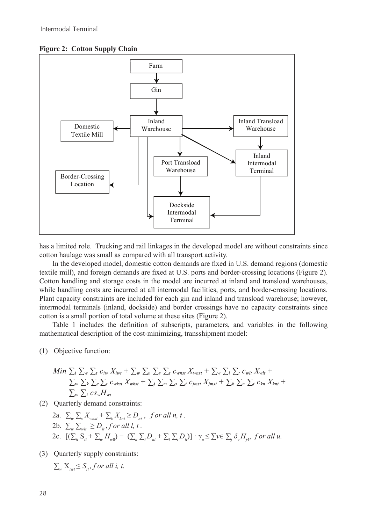**Figure 2: Cotton Supply Chain**



has a limited role. Trucking and rail linkages in the developed model are without constraints since cotton haulage was small as compared with all transport activity.

In the developed model, domestic cotton demands are fixed in U.S. demand regions (domestic textile mill), and foreign demands are fixed at U.S. ports and border-crossing locations (Figure 2). Cotton handling and storage costs in the model are incurred at inland and transload warehouses, while handling costs are incurred at all intermodal facilities, ports, and border-crossing locations. Plant capacity constraints are included for each gin and inland and transload warehouse; however, intermodal terminals (inland, dockside) and border crossings have no capacity constraints since cotton is a small portion of total volume at these sites (Figure 2).

Table 1 includes the definition of subscripts, parameters, and variables in the following mathematical description of the cost-minimizing, transshipment model:

(1) Objective function:

Min 
$$
\sum_i \sum_w \sum_t c_{iw} X_{ivt} + \sum_w \sum_n \sum_s \sum_t c_{wnst} X_{wnst} + \sum_w \sum_t \sum_t c_{wlt} X_{wlt} +
$$
  
\n $\sum_w \sum_k \sum_s \sum_t c_{wkst} X_{wkst} + \sum_j \sum_m \sum_s \sum_t c_{jmst} X_{jmst} + \sum_k \sum_n \sum_t c_{kn} X_{knt} +$   
\n $\sum_w \sum_t c_{sw} H_{wt}$ 

- (2) Quarterly demand constraints:
	- 2a.  $\sum_{w} \sum_{s} X_{wnst} + \sum_{k} X_{knt} \ge D_{nt}$ , for all *n*, *t*. 2b.  $\sum_{w} \sum_{w} \ge D_{u}$ , *f* or all *l*, *t*. 2c.  $[(\sum_{ii} S_{it} + \sum_{w} H_{w0}) - (\sum_{n} \sum_{i} D_{nt} + \sum_{i} \sum_{i} D_{li})] \cdot \gamma_u \leq \sum v \in \sum_{i} \delta_v H_{j4},$  for all u.
- (3) Quarterly supply constraints:

$$
\sum_{w} X_{iwt} \leq S_{it}, for all i, t.
$$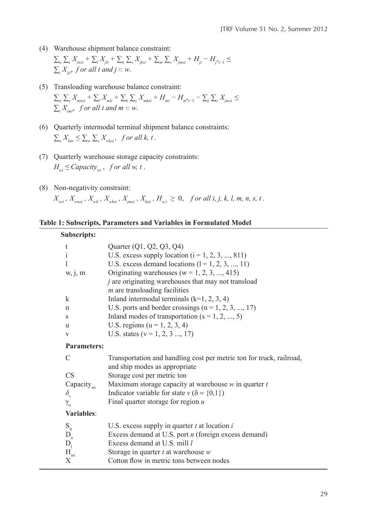- (4) Warehouse shipment balance constraint:  $\sum_{n}\sum_{s}X_{jnst} + \sum_{l}X_{jlt} + \sum_{s}\sum_{s}X_{jkst} + \sum_{m}\sum_{s}X_{jmst} + H_{jt} - H_{j^2t-1} \leq$  $\sum_i X_{ijt}$ , f or all *t* and  $j \subset w$ .
- (5) Transloading warehouse balance constraint:  $\sum_{n}\sum_{s}X_{mnst} + \sum_{l}X_{mlt} + \sum_{k}\sum_{s}X_{mkst} + H_{mt} - H_{m^{2}t-1} - \sum_{j}\sum_{s}X_{jmst} \le$  $\sum_{i} X_{i m t}$ , for all *t* and  $m \subset w$ .
- (6) Quarterly intermodal terminal shipment balance constraints:  $\sum_{n} X_{knt} \leq \sum_{w} \sum_{s} X_{wkst}$ , for all  $k$ ,  $t$ .
- (7) Quarterly warehouse storage capacity constraints:  $H_{wt} \leq$  *Capacity<sub>wt</sub>*, *f or all w*, *t*.
- (8) Non-negativity constraint:

 $X_{_{\text{iwt}}}, X_{_{\text{wnst}}}, X_{_{\text{wl}}}, X_{_{\text{wkst}}}, X_{_{\text{jmst}}}, X_{_{\text{knt}}}, H_{_{\text{w,t}}} \ge 0$ , for all i, j, k, l, m, n, s, t.

**Table 1: Subscripts, Parameters and Variables in Formulated Model**

| Subscripts:            |                                                                                                       |
|------------------------|-------------------------------------------------------------------------------------------------------|
| t                      | Quarter (Q1, Q2, Q3, Q4)                                                                              |
| $\mathbf{i}$           | U.S. excess supply location $(i = 1, 2, 3, , 811)$                                                    |
| 1                      | U.S. excess demand locations $(l = 1, 2, 3, , 11)$                                                    |
| W, 1, m                | Originating warehouses ( $w = 1, 2, 3, , 415$ )                                                       |
|                        | $j$ are originating warehouses that may not transload<br>$m$ are transloading facilities              |
| k                      | Inland intermodal terminals $(k=1, 2, 3, 4)$                                                          |
| n                      | U.S. ports and border crossings $(n = 1, 2, 3, , 17)$                                                 |
| S                      | Inland modes of transportation $(s = 1, 2, , 5)$                                                      |
| u                      | U.S. regions ( $u = 1, 2, 3, 4$ )                                                                     |
| V                      | U.S. states ( $v = 1, 2, 3, , 17$ )                                                                   |
| <b>Parameters:</b>     |                                                                                                       |
| C                      | Transportation and handling cost per metric ton for truck, railroad,<br>and ship modes as appropriate |
| <b>CS</b>              | Storage cost per metric ton                                                                           |
| Capacity <sub>wt</sub> | Maximum storage capacity at warehouse $w$ in quarter $t$                                              |
| $\delta_{\rm v}$       | Indicator variable for state $v$ ( $\delta$ = {0,1})                                                  |
| $\gamma_{\rm u}$       | Final quarter storage for region $u$                                                                  |
| Variables:             |                                                                                                       |
| $S_{it}$               | U.S. excess supply in quarter $t$ at location $i$                                                     |
| $D_{n}$                | Excess demand at U.S. port <i>n</i> (foreign excess demand)                                           |
| $D_1$                  | Excess demand at U.S. mill l                                                                          |
| $H_{wt}$               | Storage in quarter $t$ at warehouse $w$                                                               |
| X                      | Cotton flow in metric tons between nodes                                                              |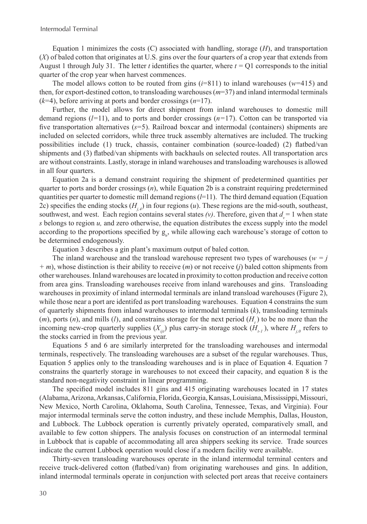Equation 1 minimizes the costs (C) associated with handling, storage (*H*), and transportation (*X*) of baled cotton that originates at U.S. gins over the four quarters of a crop year that extends from August 1 through July 31. The letter *t* identifies the quarter, where  $t = Q1$  corresponds to the initial quarter of the crop year when harvest commences.

The model allows cotton to be routed from gins  $(i=811)$  to inland warehouses ( $w=415$ ) and then, for export-destined cotton, to transloading warehouses (*m*=37) and inland intermodal terminals (*k*=4), before arriving at ports and border crossings (*n*=17).

Further, the model allows for direct shipment from inland warehouses to domestic mill demand regions (*l=*11), and to ports and border crossings (*n=*17). Cotton can be transported via five transportation alternatives (*s*=5). Railroad boxcar and intermodal (containers) shipments are included on selected corridors, while three truck assembly alternatives are included. The trucking possibilities include (1) truck, chassis, container combination (source-loaded) (2) flatbed/van shipments and (3) flatbed/van shipments with backhauls on selected routes. All transportation arcs are without constraints. Lastly, storage in inland warehouses and transloading warehouses is allowed in all four quarters.

Equation 2a is a demand constraint requiring the shipment of predetermined quantities per quarter to ports and border crossings (*n*), while Equation 2b is a constraint requiring predetermined quantities per quarter to domestic mill demand regions (*l*=11). The third demand equation (Equation 2c) specifies the ending stocks  $(H_i)$  in four regions  $(u)$ . These regions are the mid-south, southeast, southwest, and west. Each region contains several states  $(v)$ . Therefore, given that  $d_v = 1$  when state *s* belongs to region *u,* and zero otherwise, the equation distributes the excess supply into the model according to the proportions specified by  $g_{\mu}$ , while allowing each warehouse's storage of cotton to be determined endogenously.

Equation 3 describes a gin plant's maximum output of baled cotton.

The inland warehouse and the transload warehouse represent two types of warehouses ( $w = j$ *+ m*), whose distinction is their ability to receive (*m*) or not receive (*j*) baled cotton shipments from other warehouses. Inland warehouses are located in proximity to cotton production and receive cotton from area gins. Transloading warehouses receive from inland warehouses and gins. Transloading warehouses in proximity of inland intermodal terminals are inland transload warehouses (Figure 2), while those near a port are identifed as port transloading warehouses. Equation 4 constrains the sum of quarterly shipments from inland warehouses to intermodal terminals (*k*), transloading terminals  $(m)$ , ports  $(n)$ , and mills  $(l)$ , and constrains storage for the next period  $(H_t)$  to be no more than the incoming new-crop quarterly supplies  $(X_{ii})$  plus carry-in storage stock  $(H_{i-1})$ , where  $H_{i,0}$  refers to the stocks carried in from the previous year.

Equations 5 and 6 are similarly interpreted for the transloading warehouses and intermodal terminals, respectively. The transloading warehouses are a subset of the regular warehouses. Thus, Equation 5 applies only to the transloading warehouses and is in place of Equation 4. Equation 7 constrains the quarterly storage in warehouses to not exceed their capacity, and equation 8 is the standard non-negativity constraint in linear programming.

The specified model includes 811 gins and 415 originating warehouses located in 17 states (Alabama, Arizona, Arkansas, California, Florida, Georgia, Kansas, Louisiana, Mississippi, Missouri, New Mexico, North Carolina, Oklahoma, South Carolina, Tennessee, Texas, and Virginia). Four major intermodal terminals serve the cotton industry, and these include Memphis, Dallas, Houston, and Lubbock. The Lubbock operation is currently privately operated, comparatively small, and available to few cotton shippers. The analysis focuses on construction of an intermodal terminal in Lubbock that is capable of accommodating all area shippers seeking its service. Trade sources indicate the current Lubbock operation would close if a modern facility were available.

Thirty-seven transloading warehouses operate in the inland intermodal terminal centers and receive truck-delivered cotton (flatbed/van) from originating warehouses and gins. In addition, inland intermodal terminals operate in conjunction with selected port areas that receive containers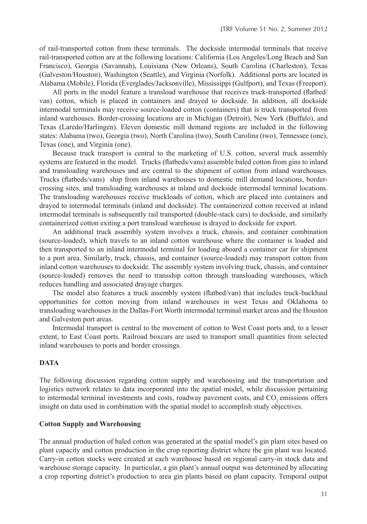of rail-transported cotton from these terminals. The dockside intermodal terminals that receive rail-transported cotton are at the following locations: California (Los Angeles/Long Beach and San Francisco), Georgia (Savannah), Louisiana (New Orleans), South Carolina (Charleston), Texas (Galveston/Houston), Washington (Seattle), and Virginia (Norfolk). Additional ports are located in Alabama (Mobile), Florida (Everglades/Jacksonville), Mississippi (Gulfport), and Texas (Freeport).

All ports in the model feature a transload warehouse that receives truck-transported (flatbed/ van) cotton, which is placed in containers and drayed to dockside. In addition, all dockside intermodal terminals may receive source-loaded cotton (containers) that is truck transported from inland warehouses. Border-crossing locations are in Michigan (Detroit), New York (Buffalo), and Texas (Laredo/Harlingen). Eleven domestic mill demand regions are included in the following states: Alabama (two), Georgia (two), North Carolina (two), South Carolina (two), Tennessee (one), Texas (one), and Virginia (one).

Because truck transport is central to the marketing of U.S. cotton, several truck assembly systems are featured in the model. Trucks (flatbeds/vans) assemble baled cotton from gins to inland and transloading warehouses and are central to the shipment of cotton from inland warehouses. Trucks (flatbeds/vans) ship from inland warehouses to domestic mill demand locations, bordercrossing sites, and transloading warehouses at inland and dockside intermodal terminal locations. The transloading warehouses receive truckloads of cotton, which are placed into containers and drayed to intermodal terminals (inland and dockside). The containerized cotton received at inland intermodal terminals is subsequently rail transported (double-stack cars) to dockside, and similarly containerized cotton exiting a port transload warehouse is drayed to dockside for export.

An additional truck assembly system involves a truck, chassis, and container combination (source-loaded), which travels to an inland cotton warehouse where the container is loaded and then transported to an inland intermodal terminal for loading aboard a container car for shipment to a port area. Similarly, truck, chassis, and container (source-loaded) may transport cotton from inland cotton warehouses to dockside. The assembly system involving truck, chassis, and container (source-loaded) removes the need to transship cotton through transloading warehouses, which reduces handling and associated drayage charges.

The model also features a truck assembly system (flatbed/van) that includes truck-backhaul opportunities for cotton moving from inland warehouses in west Texas and Oklahoma to transloading warehouses in the Dallas-Fort Worth intermodal terminal market areas and the Houston and Galveston port areas.

Intermodal transport is central to the movement of cotton to West Coast ports and, to a lesser extent, to East Coast ports. Railroad boxcars are used to transport small quantities from selected inland warehouses to ports and border crossings.

## **DATA**

The following discussion regarding cotton supply and warehousing and the transportation and logistics network relates to data incorporated into the spatial model, while discussion pertaining to intermodal terminal investments and costs, roadway pavement costs, and CO<sub>2</sub> emissions offers insight on data used in combination with the spatial model to accomplish study objectives.

#### **Cotton Supply and Warehousing**

The annual production of baled cotton was generated at the spatial model's gin plant sites based on plant capacity and cotton production in the crop reporting district where the gin plant was located. Carry-in cotton stocks were created at each warehouse based on regional carry-in stock data and warehouse storage capacity. In particular, a gin plant's annual output was determined by allocating a crop reporting district's production to area gin plants based on plant capacity. Temporal output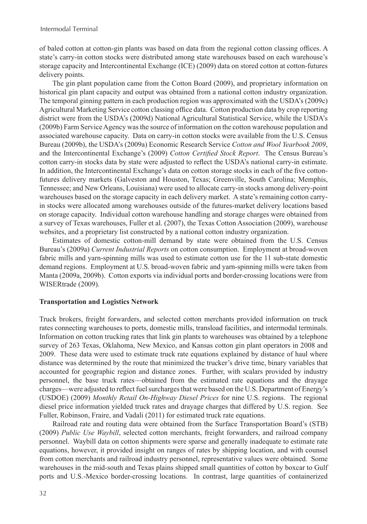of baled cotton at cotton-gin plants was based on data from the regional cotton classing offices. A state's carry-in cotton stocks were distributed among state warehouses based on each warehouse's storage capacity and Intercontinental Exchange (ICE) (2009) data on stored cotton at cotton-futures delivery points.

The gin plant population came from the Cotton Board (2009), and proprietary information on historical gin plant capacity and output was obtained from a national cotton industry organization. The temporal ginning pattern in each production region was approximated with the USDA's (2009c) Agricultural Marketing Service cotton classing office data. Cotton production data by crop reporting district were from the USDA's (2009d) National Agricultural Statistical Service, while the USDA's (2009b) Farm Service Agency was the source of information on the cotton warehouse population and associated warehouse capacity. Data on carry-in cotton stocks were available from the U.S. Census Bureau (2009b), the USDA's (2009a) Economic Research Service *Cotton and Wool Yearbook 2009*, and the Intercontinental Exchange's (2009) *Cotton Certified Stock Report*. The Census Bureau's cotton carry-in stocks data by state were adjusted to reflect the USDA's national carry-in estimate. In addition, the Intercontinental Exchange's data on cotton storage stocks in each of the five cottonfutures delivery markets (Galveston and Houston, Texas; Greenville, South Carolina; Memphis, Tennessee; and New Orleans, Louisiana) were used to allocate carry-in stocks among delivery-point warehouses based on the storage capacity in each delivery market. A state's remaining cotton carryin stocks were allocated among warehouses outside of the futures-market delivery locations based on storage capacity. Individual cotton warehouse handling and storage charges were obtained from a survey of Texas warehouses, Fuller et al. (2007), the Texas Cotton Association (2009), warehouse websites, and a proprietary list constructed by a national cotton industry organization.

Estimates of domestic cotton-mill demand by state were obtained from the U.S. Census Bureau's (2009a) *Current Industrial Reports* on cotton consumption. Employment at broad-woven fabric mills and yarn-spinning mills was used to estimate cotton use for the 11 sub-state domestic demand regions. Employment at U.S. broad-woven fabric and yarn-spinning mills were taken from Manta (2009a, 2009b). Cotton exports via individual ports and border-crossing locations were from WISERtrade (2009).

## **Transportation and Logistics Network**

Truck brokers, freight forwarders, and selected cotton merchants provided information on truck rates connecting warehouses to ports, domestic mills, transload facilities, and intermodal terminals. Information on cotton trucking rates that link gin plants to warehouses was obtained by a telephone survey of 263 Texas, Oklahoma, New Mexico, and Kansas cotton gin plant operators in 2008 and 2009. These data were used to estimate truck rate equations explained by distance of haul where distance was determined by the route that minimized the trucker's drive time, binary variables that accounted for geographic region and distance zones. Further, with scalars provided by industry personnel, the base truck rates—obtained from the estimated rate equations and the drayage charges—were adjusted to reflect fuel surcharges that were based on the U.S. Department of Energy's (USDOE) (2009) *Monthly Retail On-Highway Diesel Prices* for nine U.S. regions. The regional diesel price information yielded truck rates and drayage charges that differed by U.S. region. See Fuller, Robinson, Fraire, and Vadali (2011) for estimated truck rate equations.

Railroad rate and routing data were obtained from the Surface Transportation Board's (STB) (2009) *Public Use Waybill*, selected cotton merchants, freight forwarders, and railroad company personnel. Waybill data on cotton shipments were sparse and generally inadequate to estimate rate equations, however, it provided insight on ranges of rates by shipping location, and with counsel from cotton merchants and railroad industry personnel, representative values were obtained. Some warehouses in the mid-south and Texas plains shipped small quantities of cotton by boxcar to Gulf ports and U.S.-Mexico border-crossing locations. In contrast, large quantities of containerized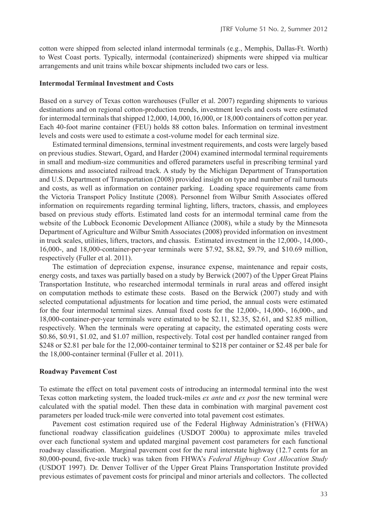cotton were shipped from selected inland intermodal terminals (e.g., Memphis, Dallas-Ft. Worth) to West Coast ports. Typically, intermodal (containerized) shipments were shipped via multicar arrangements and unit trains while boxcar shipments included two cars or less.

#### **Intermodal Terminal Investment and Costs**

Based on a survey of Texas cotton warehouses (Fuller et al. 2007) regarding shipments to various destinations and on regional cotton-production trends, investment levels and costs were estimated for intermodal terminals that shipped 12,000, 14,000, 16,000, or 18,000 containers of cotton per year. Each 40-foot marine container (FEU) holds 88 cotton bales. Information on terminal investment levels and costs were used to estimate a cost-volume model for each terminal size.

Estimated terminal dimensions, terminal investment requirements, and costs were largely based on previous studies. Stewart, Ogard, and Harder (2004) examined intermodal terminal requirements in small and medium-size communities and offered parameters useful in prescribing terminal yard dimensions and associated railroad track. A study by the Michigan Department of Transportation and U.S. Department of Transportation (2008) provided insight on type and number of rail turnouts and costs, as well as information on container parking. Loading space requirements came from the Victoria Transport Policy Institute (2008). Personnel from Wilbur Smith Associates offered information on requirements regarding terminal lighting, lifters, tractors, chassis, and employees based on previous study efforts. Estimated land costs for an intermodal terminal came from the website of the Lubbock Economic Development Alliance (2008), while a study by the Minnesota Department of Agriculture and Wilbur Smith Associates (2008) provided information on investment in truck scales, utilities, lifters, tractors, and chassis. Estimated investment in the 12,000-, 14,000-, 16,000-, and 18,000-container-per-year terminals were \$7.92, \$8.82, \$9.79, and \$10.69 million, respectively (Fuller et al. 2011).

The estimation of depreciation expense, insurance expense, maintenance and repair costs, energy costs, and taxes was partially based on a study by Berwick (2007) of the Upper Great Plains Transportation Institute, who researched intermodal terminals in rural areas and offered insight on computation methods to estimate these costs. Based on the Berwick (2007) study and with selected computational adjustments for location and time period, the annual costs were estimated for the four intermodal terminal sizes. Annual fixed costs for the 12,000-, 14,000-, 16,000-, and 18,000-container-per-year terminals were estimated to be \$2.11, \$2.35, \$2.61, and \$2.85 million, respectively. When the terminals were operating at capacity, the estimated operating costs were \$0.86, \$0.91, \$1.02, and \$1.07 million, respectively. Total cost per handled container ranged from \$248 or \$2.81 per bale for the 12,000-container terminal to \$218 per container or \$2.48 per bale for the 18,000-container terminal (Fuller et al. 2011).

#### **Roadway Pavement Cost**

To estimate the effect on total pavement costs of introducing an intermodal terminal into the west Texas cotton marketing system, the loaded truck-miles *ex ante* and *ex post* the new terminal were calculated with the spatial model. Then these data in combination with marginal pavement cost parameters per loaded truck-mile were converted into total pavement cost estimates.

Pavement cost estimation required use of the Federal Highway Administration's (FHWA) functional roadway classification guidelines (USDOT 2000a) to approximate miles traveled over each functional system and updated marginal pavement cost parameters for each functional roadway classification. Marginal pavement cost for the rural interstate highway (12.7 cents for an 80,000-pound, five-axle truck) was taken from FHWA's *Federal Highway Cost Allocation Study* (USDOT 1997)*.* Dr. Denver Tolliver of the Upper Great Plains Transportation Institute provided previous estimates of pavement costs for principal and minor arterials and collectors. The collected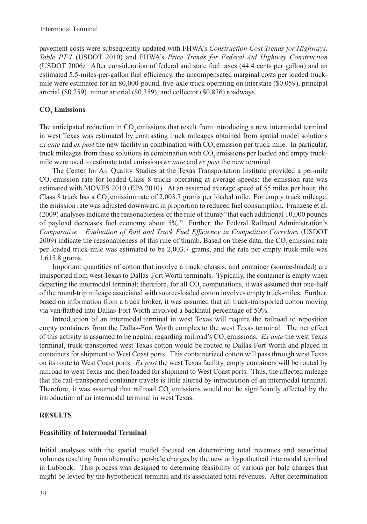pavement costs were subsequently updated with FHWA's *Construction Cost Trends for Highways, Table PT-1* (USDOT 2010) and FHWA's *Price Trends for Federal-Aid Highway Construction* (USDOT 2006*)*. After consideration of federal and state fuel taxes (44.4 cents per gallon) and an estimated 5.5-miles-per-gallon fuel efficiency, the uncompensated marginal costs per loaded truckmile were estimated for an 80,000-pound, five-axle truck operating on interstate (\$0.059), principal arterial (\$0.259), minor arterial (\$0.359), and collector (\$0.876) roadways.

## **CO<sup>2</sup> Emissions**

The anticipated reduction in CO<sub>2</sub> emissions that result from introducing a new intermodal terminal in west Texas was estimated by contrasting truck mileages obtained from spatial model solutions *ex ante* and *ex post* the new facility in combination with CO<sub>2</sub> emission per truck-mile. In particular, truck mileages from these solutions in combination with CO<sub>2</sub> emissions per loaded and empty truckmile were used to estimate total emissions *ex ante* and *ex post* the new terminal.

The Center for Air Quality Studies at the Texas Transportation Institute provided a per-mile CO<sub>2</sub> emission rate for loaded Class 8 trucks operating at average speeds: the emission rate was estimated with MOVES 2010 (EPA 2010). At an assumed average speed of 55 miles per hour, the Class 8 truck has a CO<sub>2</sub> emission rate of 2,003.7 grams per loaded mile. For empty truck mileage, the emission rate was adjusted downward in proportion to reduced fuel consumption. Franzese et al. (2009) analyses indicate the reasonableness of the rule of thumb "that each additional 10,000 pounds of payload decreases fuel economy about 5%." Further, the Federal Railroad Administration's *Comparative Evaluation of Rail and Truck Fuel Efficiency in Competitive Corridors* (USDOT 2009) indicate the reasonableness of this rule of thumb. Based on these data, the CO<sub>2</sub> emission rate per loaded truck-mile was estimated to be 2,003.7 grams, and the rate per empty truck-mile was 1,615.8 grams.

Important quantities of cotton that involve a truck, chassis, and container (source-loaded) are transported from west Texas to Dallas-Fort Worth terminals. Typically, the container is empty when departing the intermodal terminal; therefore, for all CO<sub>2</sub> computations, it was assumed that one-half of the round-trip mileage associated with source-loaded cotton involves empty truck-miles. Further, based on information from a truck broker, it was assumed that all truck-transported cotton moving via van/flatbed into Dallas-Fort Worth involved a backhaul percentage of 50%.

Introduction of an intermodal terminal in west Texas will require the railroad to reposition empty containers from the Dallas-Fort Worth complex to the west Texas terminal. The net effect of this activity is assumed to be neutral regarding railroad's CO<sub>2</sub> emissions. *Ex ante* the west Texas terminal, truck-transported west Texas cotton would be routed to Dallas-Fort Worth and placed in containers for shipment to West Coast ports. This containerized cotton will pass through west Texas on its route to West Coast ports. *Ex post* the west Texas facility, empty containers will be routed by railroad to west Texas and then loaded for shipment to West Coast ports. Thus, the affected mileage that the rail-transported container travels is little altered by introduction of an intermodal terminal. Therefore, it was assumed that railroad CO<sub>2</sub> emissions would not be significantly affected by the introduction of an intermodal terminal in west Texas.

## **RESULTS**

## **Feasibility of Intermodal Terminal**

Initial analyses with the spatial model focused on determining total revenues and associated volumes resulting from alternative per-bale charges by the new or hypothetical intermodal terminal in Lubbock. This process was designed to determine feasibility of various per bale charges that might be levied by the hypothetical terminal and its associated total revenues. After determination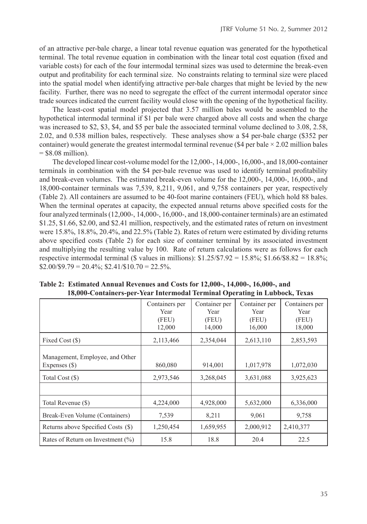of an attractive per-bale charge, a linear total revenue equation was generated for the hypothetical terminal. The total revenue equation in combination with the linear total cost equation (fixed and variable costs) for each of the four intermodal terminal sizes was used to determine the break-even output and profitability for each terminal size. No constraints relating to terminal size were placed into the spatial model when identifying attractive per-bale charges that might be levied by the new facility. Further, there was no need to segregate the effect of the current intermodal operator since trade sources indicated the current facility would close with the opening of the hypothetical facility.

The least-cost spatial model projected that 3.57 million bales would be assembled to the hypothetical intermodal terminal if \$1 per bale were charged above all costs and when the charge was increased to \$2, \$3, \$4, and \$5 per bale the associated terminal volume declined to 3.08, 2.58, 2.02, and 0.538 million bales, respectively. These analyses show a \$4 per-bale charge (\$352 per container) would generate the greatest intermodal terminal revenue (\$4 per bale  $\times$  2.02 million bales  $=$  \$8.08 million).

The developed linear cost-volume model for the 12,000-, 14,000-, 16,000-, and 18,000-container terminals in combination with the \$4 per-bale revenue was used to identify terminal profitability and break-even volumes. The estimated break-even volume for the 12,000-, 14,000-, 16,000-, and 18,000-container terminals was 7,539, 8,211, 9,061, and 9,758 containers per year, respectively (Table 2). All containers are assumed to be 40-foot marine containers (FEU), which hold 88 bales. When the terminal operates at capacity, the expected annual returns above specified costs for the four analyzed terminals (12,000-, 14,000-, 16,000-, and 18,000-container terminals) are an estimated \$1.25, \$1.66, \$2.00, and \$2.41 million, respectively, and the estimated rates of return on investment were 15.8%, 18.8%, 20.4%, and 22.5% (Table 2). Rates of return were estimated by dividing returns above specified costs (Table 2) for each size of container terminal by its associated investment and multiplying the resulting value by 100. Rate of return calculations were as follows for each respective intermodal terminal (\$ values in millions):  $$1.25/\$7.92 = 15.8\%$ ;  $$1.66/\$8.82 = 18.8\%$ ;  $$2.00/\$9.79 = 20.4\%;$  \$2.41/\$10.70 = 22.5%.

|                                                  | Containers per<br>Year<br>(FEU)<br>12,000 | Container per<br>Year<br>(FEU)<br>14,000 | Container per<br>Year<br>(FEU)<br>16,000 | Containers per<br>Year<br>(FEU)<br>18,000 |
|--------------------------------------------------|-------------------------------------------|------------------------------------------|------------------------------------------|-------------------------------------------|
| Fixed Cost (\$)                                  | 2,113,466                                 | 2,354,044                                | 2,613,110                                | 2,853,593                                 |
| Management, Employee, and Other<br>Expenses (\$) | 860,080                                   | 914,001                                  | 1,017,978                                | 1,072,030                                 |
| Total Cost (\$)                                  | 2,973,546                                 | 3,268,045                                | 3,631,088                                | 3,925,623                                 |
|                                                  |                                           |                                          |                                          |                                           |
| Total Revenue (\$)                               | 4,224,000                                 | 4,928,000                                | 5,632,000                                | 6,336,000                                 |
| Break-Even Volume (Containers)                   | 7,539                                     | 8,211                                    | 9,061                                    | 9,758                                     |
| Returns above Specified Costs (\$)               | 1,250,454                                 | 1,659,955                                | 2,000,912                                | 2,410,377                                 |
| Rates of Return on Investment $(\%)$             | 15.8                                      | 18.8                                     | 20.4                                     | 22.5                                      |

**Table 2: Estimated Annual Revenues and Costs for 12,000-, 14,000-, 16,000-, and 18,000-Containers-per-Year Intermodal Terminal Operating in Lubbock, Texas**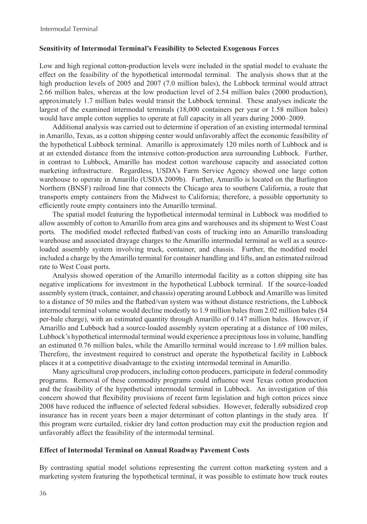## **Sensitivity of Intermodal Terminal's Feasibility to Selected Exogenous Forces**

Low and high regional cotton-production levels were included in the spatial model to evaluate the effect on the feasibility of the hypothetical intermodal terminal. The analysis shows that at the high production levels of 2005 and 2007 (7.0 million bales), the Lubbock terminal would attract 2.66 million bales, whereas at the low production level of 2.54 million bales (2000 production), approximately 1.7 million bales would transit the Lubbock terminal. These analyses indicate the largest of the examined intermodal terminals (18,000 containers per year or 1.58 million bales) would have ample cotton supplies to operate at full capacity in all years during 2000–2009.

Additional analysis was carried out to determine if operation of an existing intermodal terminal in Amarillo, Texas, as a cotton shipping center would unfavorably affect the economic feasibility of the hypothetical Lubbock terminal. Amarillo is approximately 120 miles north of Lubbock and is at an extended distance from the intensive cotton-production area surrounding Lubbock. Further, in contrast to Lubbock, Amarillo has modest cotton warehouse capacity and associated cotton marketing infrastructure. Regardless, USDA's Farm Service Agency showed one large cotton warehouse to operate in Amarillo (USDA 2009b). Further, Amarillo is located on the Burlington Northern (BNSF) railroad line that connects the Chicago area to southern California, a route that transports empty containers from the Midwest to California; therefore, a possible opportunity to efficiently route empty containers into the Amarillo terminal.

The spatial model featuring the hypothetical intermodal terminal in Lubbock was modified to allow assembly of cotton to Amarillo from area gins and warehouses and its shipment to West Coast ports. The modified model reflected flatbed/van costs of trucking into an Amarillo transloading warehouse and associated drayage charges to the Amarillo intermodal terminal as well as a sourceloaded assembly system involving truck, container, and chassis. Further, the modified model included a charge by the Amarillo terminal for container handling and lifts, and an estimated railroad rate to West Coast ports.

Analysis showed operation of the Amarillo intermodal facility as a cotton shipping site has negative implications for investment in the hypothetical Lubbock terminal. If the source-loaded assembly system (truck, container, and chassis) operating around Lubbock and Amarillo was limited to a distance of 50 miles and the flatbed/van system was without distance restrictions, the Lubbock intermodal terminal volume would decline modestly to 1.9 million bales from 2.02 million bales (\$4 per-bale charge), with an estimated quantity through Amarillo of 0.147 million bales. However, if Amarillo and Lubbock had a source-loaded assembly system operating at a distance of 100 miles, Lubbock's hypothetical intermodal terminal would experience a precipitous loss in volume, handling an estimated 0.76 million bales, while the Amarillo terminal would increase to 1.69 million bales. Therefore, the investment required to construct and operate the hypothetical facility in Lubbock places it at a competitive disadvantage to the existing intermodal terminal in Amarillo.

Many agricultural crop producers, including cotton producers, participate in federal commodity programs. Removal of these commodity programs could influence west Texas cotton production and the feasibility of the hypothetical intermodal terminal in Lubbock. An investigation of this concern showed that flexibility provisions of recent farm legislation and high cotton prices since 2008 have reduced the influence of selected federal subsidies. However, federally subsidized crop insurance has in recent years been a major determinant of cotton plantings in the study area. If this program were curtailed, riskier dry land cotton production may exit the production region and unfavorably affect the feasibility of the intermodal terminal.

## **Effect of Intermodal Terminal on Annual Roadway Pavement Costs**

By contrasting spatial model solutions representing the current cotton marketing system and a marketing system featuring the hypothetical terminal, it was possible to estimate how truck routes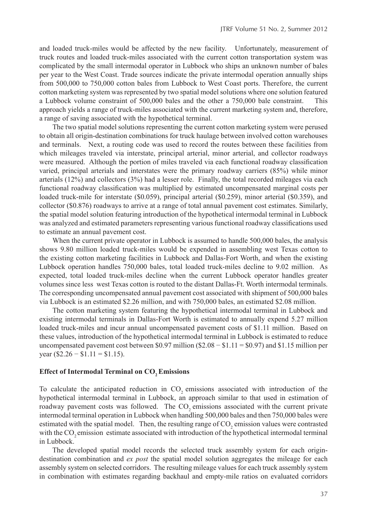and loaded truck-miles would be affected by the new facility. Unfortunately, measurement of truck routes and loaded truck-miles associated with the current cotton transportation system was complicated by the small intermodal operator in Lubbock who ships an unknown number of bales per year to the West Coast. Trade sources indicate the private intermodal operation annually ships from 500,000 to 750,000 cotton bales from Lubbock to West Coast ports. Therefore, the current cotton marketing system was represented by two spatial model solutions where one solution featured a Lubbock volume constraint of 500,000 bales and the other a 750,000 bale constraint. This approach yields a range of truck-miles associated with the current marketing system and, therefore, a range of saving associated with the hypothetical terminal.

The two spatial model solutions representing the current cotton marketing system were perused to obtain all origin-destination combinations for truck haulage between involved cotton warehouses and terminals. Next, a routing code was used to record the routes between these facilities from which mileages traveled via interstate, principal arterial, minor arterial, and collector roadways were measured. Although the portion of miles traveled via each functional roadway classification varied, principal arterials and interstates were the primary roadway carriers (85%) while minor arterials (12%) and collectors (3%) had a lesser role. Finally, the total recorded mileages via each functional roadway classification was multiplied by estimated uncompensated marginal costs per loaded truck-mile for interstate (\$0.059), principal arterial (\$0.259), minor arterial (\$0.359), and collector (\$0.876) roadways to arrive at a range of total annual pavement cost estimates. Similarly, the spatial model solution featuring introduction of the hypothetical intermodal terminal in Lubbock was analyzed and estimated parameters representing various functional roadway classifications used to estimate an annual pavement cost.

When the current private operator in Lubbock is assumed to handle 500,000 bales, the analysis shows 9.80 million loaded truck-miles would be expended in assembling west Texas cotton to the existing cotton marketing facilities in Lubbock and Dallas-Fort Worth, and when the existing Lubbock operation handles 750,000 bales, total loaded truck-miles decline to 9.02 million. As expected, total loaded truck-miles decline when the current Lubbock operator handles greater volumes since less west Texas cotton is routed to the distant Dallas-Ft. Worth intermodal terminals. The corresponding uncompensated annual pavement cost associated with shipment of 500,000 bales via Lubbock is an estimated \$2.26 million, and with 750,000 bales, an estimated \$2.08 million.

The cotton marketing system featuring the hypothetical intermodal terminal in Lubbock and existing intermodal terminals in Dallas-Fort Worth is estimated to annually expend 5.27 million loaded truck-miles and incur annual uncompensated pavement costs of \$1.11 million. Based on these values, introduction of the hypothetical intermodal terminal in Lubbock is estimated to reduce uncompensated pavement cost between \$0.97 million ( $$2.08 - $1.11 = $0.97$ ) and \$1.15 million per year  $(\$2.26 - \$1.11 = \$1.15)$ .

#### **Effect of Intermodal Terminal on CO2 Emissions**

To calculate the anticipated reduction in CO<sub>2</sub> emissions associated with introduction of the hypothetical intermodal terminal in Lubbock, an approach similar to that used in estimation of roadway pavement costs was followed. The CO<sub>2</sub> emissions associated with the current private intermodal terminal operation in Lubbock when handling 500,000 bales and then 750,000 bales were estimated with the spatial model. Then, the resulting range of  $CO<sub>2</sub>$  emission values were contrasted with the CO<sub>2</sub> emission estimate associated with introduction of the hypothetical intermodal terminal in Lubbock.

The developed spatial model records the selected truck assembly system for each origindestination combination and *ex post* the spatial model solution aggregates the mileage for each assembly system on selected corridors. The resulting mileage values for each truck assembly system in combination with estimates regarding backhaul and empty-mile ratios on evaluated corridors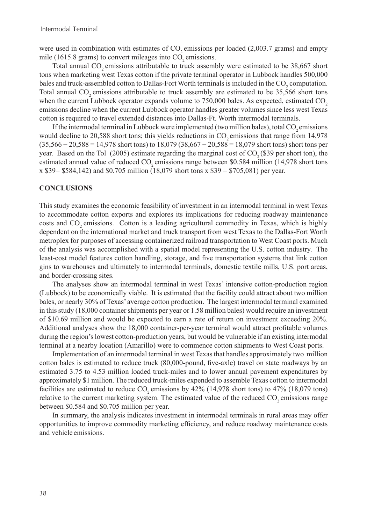were used in combination with estimates of  $CO<sub>2</sub>$  emissions per loaded (2,003.7 grams) and empty mile  $(1615.8 \text{ grams})$  to convert mileages into  $CO$ , emissions.

Total annual  $CO<sub>2</sub>$  emissions attributable to truck assembly were estimated to be 38,667 short tons when marketing west Texas cotton if the private terminal operator in Lubbock handles 500,000 bales and truck-assembled cotton to Dallas-Fort Worth terminals is included in the  $CO_2$  computation. Total annual CO<sub>2</sub> emissions attributable to truck assembly are estimated to be 35,566 short tons when the current Lubbock operator expands volume to  $750,000$  bales. As expected, estimated  $CO$ , emissions decline when the current Lubbock operator handles greater volumes since less west Texas cotton is required to travel extended distances into Dallas-Ft. Worth intermodal terminals.

If the intermodal terminal in Lubbock were implemented (two million bales), total  $CO$ , emissions would decline to 20,588 short tons; this yields reductions in  $CO_2$  emissions that range from 14,978 (35,566 − 20,588 = 14,978 short tons) to 18,079 (38,667 − 20,588 = 18,079 short tons) short tons per year. Based on the Tol  $(2005)$  estimate regarding the marginal cost of CO<sub>2</sub> (\$39 per short ton), the estimated annual value of reduced CO<sub>2</sub> emissions range between \$0.584 million (14,978 short tons x \$39= \$584,142) and \$0.705 million (18,079 short tons x \$39 = \$705,081) per year.

#### **CONCLUSIONS**

This study examines the economic feasibility of investment in an intermodal terminal in west Texas to accommodate cotton exports and explores its implications for reducing roadway maintenance costs and CO<sub>2</sub> emissions. Cotton is a leading agricultural commodity in Texas, which is highly dependent on the international market and truck transport from west Texas to the Dallas-Fort Worth metroplex for purposes of accessing containerized railroad transportation to West Coast ports. Much of the analysis was accomplished with a spatial model representing the U.S. cotton industry. The least-cost model features cotton handling, storage, and five transportation systems that link cotton gins to warehouses and ultimately to intermodal terminals, domestic textile mills, U.S. port areas, and border-crossing sites.

The analyses show an intermodal terminal in west Texas' intensive cotton-production region (Lubbock) to be economically viable. It is estimated that the facility could attract about two million bales, or nearly 30% of Texas' average cotton production. The largest intermodal terminal examined in this study (18,000 container shipments per year or 1.58 million bales) would require an investment of \$10.69 million and would be expected to earn a rate of return on investment exceeding 20%. Additional analyses show the 18,000 container-per-year terminal would attract profitable volumes during the region's lowest cotton-production years, but would be vulnerable if an existing intermodal terminal at a nearby location (Amarillo) were to commence cotton shipments to West Coast ports.

Implementation of an intermodal terminal in west Texas that handles approximately two million cotton bales is estimated to reduce truck (80,000-pound, five-axle) travel on state roadways by an estimated 3.75 to 4.53 million loaded truck-miles and to lower annual pavement expenditures by approximately \$1 million. The reduced truck-miles expended to assemble Texas cotton to intermodal facilities are estimated to reduce  $CO$ , emissions by  $42\%$  (14,978 short tons) to  $47\%$  (18,079 tons) relative to the current marketing system. The estimated value of the reduced  $CO<sub>2</sub>$  emissions range between \$0.584 and \$0.705 million per year.

In summary, the analysis indicates investment in intermodal terminals in rural areas may offer opportunities to improve commodity marketing efficiency, and reduce roadway maintenance costs and vehicle emissions.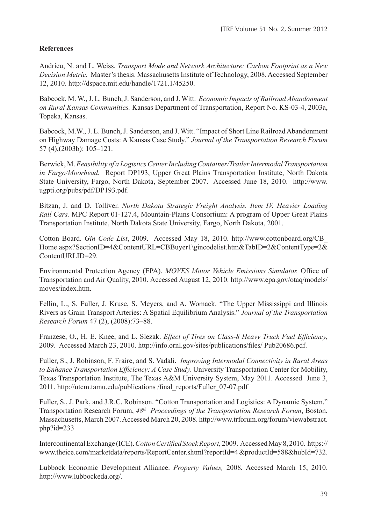## **References**

Andrieu, N. and L. Weiss. *Transport Mode and Network Architecture: Carbon Footprint as a New Decision Metric.* Master's thesis. Massachusetts Institute of Technology, 2008. Accessed September 12, 2010. http://dspace.mit.edu/handle/1721.1/45250.

Babcock, M. W., J. L. Bunch, J. Sanderson, and J. Witt. *Economic Impacts of Railroad Abandonment on Rural Kansas Communities.* Kansas Department of Transportation, Report No. KS-03-4, 2003a, Topeka, Kansas.

Babcock, M.W., J. L. Bunch, J. Sanderson, and J. Witt. "Impact of Short Line Railroad Abandonment on Highway Damage Costs: A Kansas Case Study." *Journal of the Transportation Research Forum* 57 (4),(2003b): 105–121.

Berwick, M. *Feasibility of a LogisticsCenterIncludingContainer/TrailerIntermodal Transportation in Fargo/Moorhead.* Report DP193, Upper Great Plains Transportation Institute, North Dakota State University, Fargo, North Dakota, September 2007. Accessed June 18, 2010. http://www. ugpti.org/pubs/pdf/DP193.pdf.

Bitzan, J. and D. Tolliver. *North Dakota Strategic Freight Analysis. Item IV. Heavier Loading Rail Cars.* MPC Report 01-127.4, Mountain-Plains Consortium: A program of Upper Great Plains Transportation Institute, North Dakota State University, Fargo, North Dakota, 2001.

Cotton Board. *Gin Code List*, 2009. Accessed May 18, 2010. http://www.cottonboard.org/CB\_ Home.aspx?SectionID=4&ContentURL=CBBuyer1\gincodelist.htm&TabID=2&ContentType=2& ContentURLID=29.

Environmental Protection Agency (EPA). *MOVES Motor Vehicle Emissions Simulator.* Office of Transportation and Air Quality, 2010. Accessed August 12, 2010. http://www.epa.gov/otaq/models/ moves/index.htm.

Fellin, L., S. Fuller, J. Kruse, S. Meyers, and A. Womack. "The Upper Mississippi and Illinois Rivers as Grain Transport Arteries: A Spatial Equilibrium Analysis." *Journal of the Transportation Research Forum* 47 (2), (2008):73–88.

Franzese, O., H. E. Knee, and L. Slezak. *Effect of Tires on Class-8 Heavy Truck Fuel Efficiency,* 2009. Accessed March 23, 2010. http://info.ornl.gov/sites/publications/files/ Pub20686.pdf.

Fuller, S., J. Robinson, F. Fraire, and S. Vadali. *Improving Intermodal Connectivity in Rural Areas to Enhance Transportation Efficiency: A Case Study.* University Transportation Center for Mobility, Texas Transportation Institute, The Texas A&M University System, May 2011. Accessed June 3, 2011. http://utcm.tamu.edu/publications /final\_reports/Fuller\_07-07.pdf

Fuller, S., J. Park, and J.R.C. Robinson. "Cotton Transportation and Logistics: A Dynamic System." Transportation Research Forum, *48th Proceedings of the Transportation Research Forum*, Boston, Massachusetts, March 2007. Accessed March 20, 2008. http://www.trforum.org/forum/viewabstract. php?id=233

Intercontinental Exchange (ICE). *CottonCertified StockReport,* 2009.Accessed May 8, 2010. https:// www.theice.com/marketdata/reports/ReportCenter.shtml?reportId=4 &productId=588&hubId=732.

Lubbock Economic Development Alliance. *Property Values,* 2008*.* Accessed March 15, 2010. http://www.lubbockeda.org/.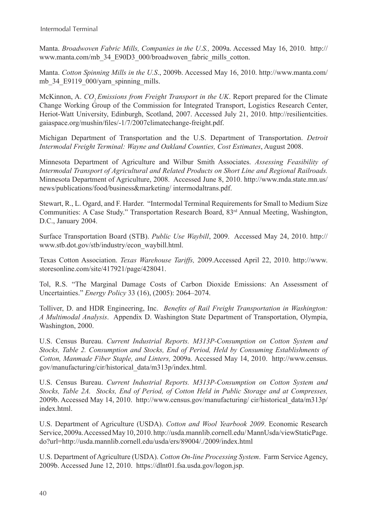Manta. *Broadwoven Fabric Mills, Companies in the U.S.,* 2009a. Accessed May 16, 2010. http:// www.manta.com/mb\_34\_E90D3\_000/broadwoven\_fabric\_mills\_cotton.

Manta. *Cotton Spinning Mills in the U.S*., 2009b. Accessed May 16, 2010. http://www.manta.com/ mb 34 E9119\_000/yarn\_spinning\_mills.

McKinnon, A. *CO2 Emissions from Freight Transport in the UK*. Report prepared for the Climate Change Working Group of the Commission for Integrated Transport, Logistics Research Center, Heriot-Watt University, Edinburgh, Scotland, 2007. Accessed July 21, 2010. http://resilientcities. gaiaspace.org/mushin/files/-1/7/2007climatechange-freight.pdf.

Michigan Department of Transportation and the U.S. Department of Transportation. *Detroit Intermodal Freight Terminal: Wayne and Oakland Counties, Cost Estimates*, August 2008.

Minnesota Department of Agriculture and Wilbur Smith Associates. *Assessing Feasibility of Intermodal Transport of Agricultural and Related Products on Short Line and Regional Railroads.* Minnesota Department of Agriculture, 2008. Accessed June 8, 2010. http://www.mda.state.mn.us/ news/publications/food/business&marketing/ intermodaltrans.pdf.

Stewart, R., L. Ogard, and F. Harder. "Intermodal Terminal Requirements for Small to Medium Size Communities: A Case Study." Transportation Research Board, 83rd Annual Meeting, Washington, D.C., January 2004.

Surface Transportation Board (STB). *Public Use Waybill*, 2009. Accessed May 24, 2010. http:// www.stb.dot.gov/stb/industry/econ\_waybill.html.

Texas Cotton Association. *Texas Warehouse Tariffs,* 2009.Accessed April 22, 2010. http://www. storesonline.com/site/417921/page/428041.

Tol, R.S. "The Marginal Damage Costs of Carbon Dioxide Emissions: An Assessment of Uncertainties." *Energy Policy* 33 (16), (2005): 2064–2074.

Tolliver, D. and HDR Engineering, Inc. *Benefits of Rail Freight Transportation in Washington: A Multimodal Analysis*. Appendix D. Washington State Department of Transportation, Olympia, Washington, 2000.

U.S. Census Bureau. *Current Industrial Reports. M313P-Consumption on Cotton System and Stocks, Table 2. Consumption and Stocks, End of Period, Held by Consuming Establishments of Cotton, Manmade Fiber Staple, and Linters,* 2009a. Accessed May 14, 2010. http://www.census. gov/manufacturing/cir/historical\_data/m313p/index.html.

U.S. Census Bureau. *Current Industrial Reports. M313P-Consumption on Cotton System and Stocks, Table 2A. Stocks, End of Period, of Cotton Held in Public Storage and at Compresses,* 2009b. Accessed May 14, 2010. http://www.census.gov/manufacturing/ cir/historical\_data/m313p/ index.html.

U.S. Department of Agriculture (USDA). *Cotton and Wool Yearbook 2009*. Economic Research Service, 2009a. Accessed May 10, 2010. http://usda.mannlib.cornell.edu/ MannUsda/viewStaticPage. do?url=http://usda.mannlib.cornell.edu/usda/ers/89004/./2009/index.html

U.S. Department of Agriculture (USDA). *Cotton On-line Processing System*. Farm Service Agency, 2009b. Accessed June 12, 2010. https://dlnt01.fsa.usda.gov/logon.jsp.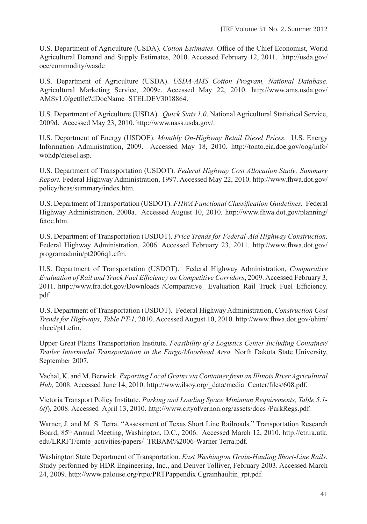U.S. Department of Agriculture (USDA). *Cotton Estimates*. Office of the Chief Economist, World Agricultural Demand and Supply Estimates, 2010. Accessed February 12, 2011. http://usda.gov/ oce/commodity/wasde

U.S. Department of Agriculture (USDA). *USDA-AMS Cotton Program, National Database*. Agricultural Marketing Service, 2009c. Accessed May 22, 2010. http://www.ams.usda.gov/ AMSv1.0/getfile?dDocName=STELDEV3018864.

U.S. Department of Agriculture (USDA). *Quick Stats 1.0*. National Agricultural Statistical Service, 2009d. Accessed May 23, 2010. http://www.nass.usda.gov/.

U.S. Department of Energy (USDOE). *Monthly On-Highway Retail Diesel Prices.* U.S. Energy Information Administration, 2009. Accessed May 18, 2010. http://tonto.eia.doe.gov/oog/info/ wohdp/diesel.asp.

U.S. Department of Transportation (USDOT). *Federal Highway Cost Allocation Study: Summary Report.* Federal Highway Administration, 1997. Accessed May 22, 2010. http://www.fhwa.dot.gov/ policy/hcas/summary/index.htm.

U.S. Department of Transportation (USDOT). *FHWA Functional Classification Guidelines.* Federal Highway Administration, 2000a. Accessed August 10, 2010. http://www.fhwa.dot.gov/planning/ fctoc.htm.

U.S. Department of Transportation (USDOT). *Price Trends for Federal-Aid Highway Construction.* Federal Highway Administration, 2006. Accessed February 23, 2011. http://www.fhwa.dot.gov/ programadmin/pt2006q1.cfm.

U.S. Department of Transportation (USDOT). Federal Highway Administration, *Comparative Evaluation of Rail and Truck Fuel Efficiency on Competitive Corridors***,** 2009. Accessed February 3, 2011. http://www.fra.dot.gov/Downloads /Comparative\_ Evaluation\_Rail\_Truck\_Fuel\_Efficiency. pdf.

U.S. Department of Transportation (USDOT). Federal Highway Administration, *Construction Cost Trends for Highways, Table PT-1,* 2010. Accessed August 10, 2010. http://www.fhwa.dot.gov/ohim/ nhcci/pt1.cfm.

Upper Great Plains Transportation Institute. *Feasibility of a Logistics Center Including Container/ Trailer Intermodal Transportation in the Fargo/Moorhead Area.* North Dakota State University, September 2007.

Vachal, K. and M. Berwick. *Exporting Local Grains viaContainerfrom an Illinois RiverAgricultural Hub,* 2008. Accessed June 14, 2010. http://www.ilsoy.org/\_data/media Center/files/608.pdf.

Victoria Transport Policy Institute. *Parking and Loading Space Minimum Requirements, Table 5.1- 6(f*), 2008. Accessed April 13, 2010. http://www.cityofvernon.org/assets/docs /ParkRegs.pdf.

Warner, J. and M. S. Terra. "Assessment of Texas Short Line Railroads." Transportation Research Board, 85th Annual Meeting, Washington, D.C., 2006. Accessed March 12, 2010. http://ctr.ra.utk. edu/LRRFT/cmte\_activities/papers/ TRBAM%2006-Warner Terra.pdf.

Washington State Department of Transportation. *East Washington Grain-Hauling Short-Line Rails.* Study performed by HDR Engineering, Inc., and Denver Tolliver, February 2003. Accessed March 24, 2009. http://www.palouse.org/rtpo/PRTPappendix Cgrainhaultin\_rpt.pdf.